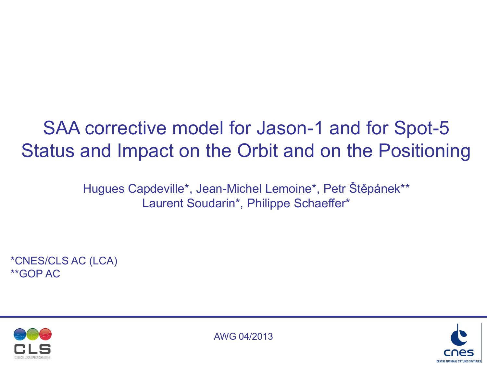# SAA corrective model for Jason-1 and for Spot-5 Status and Impact on the Orbit and on the Positioning

Hugues Capdeville\*, Jean-Michel Lemoine\*, Petr Štěpánek\*\* Laurent Soudarin\*, Philippe Schaeffer\*

\*CNES/CLS AC (LCA) \*\*GOP AC





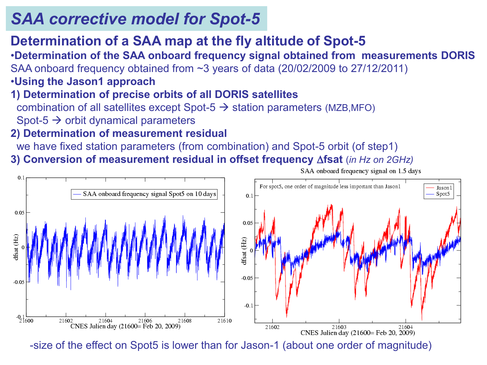### **Determination of a SAA map at the fly altitude of Spot-5**

•**Determination of the SAA onboard frequency signal obtained from measurements DORIS** SAA onboard frequency obtained from ~3 years of data (20/02/2009 to 27/12/2011)

### •**Using the Jason1 approach**

#### **1) Determination of precise orbits of all DORIS satellites** combination of all satellites except Spot-5  $\rightarrow$  station parameters (MZB,MFO) Spot-5  $\rightarrow$  orbit dynamical parameters

#### **2) Determination of measurement residual**

we have fixed station parameters (from combination) and Spot-5 orbit (of step1)

**3) Conversion of measurement residual in offset frequency fsat** (*in Hz on 2GHz)*



-size of the effect on Spot5 is lower than for Jason-1 (about one order of magnitude)

SAA onboard frequency signal on 1.5 days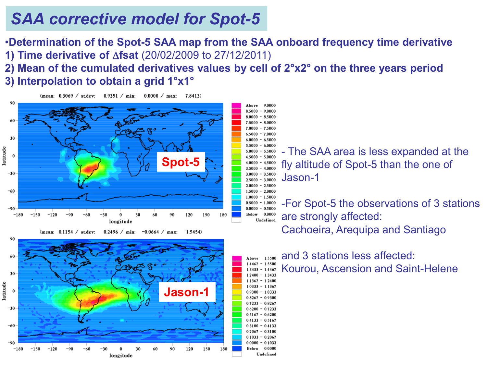•**Determination of the Spot-5 SAA map from the SAA onboard frequency time derivative 1) Time derivative of**  $\Delta$ **fsat** (20/02/2009 to 27/12/2011)

Above

9.0000  $8.5000 - 9.0000$  $8.0000 - 8.5000$ 

 $7.5000 - 8.0000$  $7.0000 - 7.5000$  $6.5000 - 7.0000$ 

 $6.0000 - 6.5000$ 

 $1.5000 - 2.0000$ 

Below 0.0000

Undefined

**2) Mean of the cumulated derivatives values by cell of 2°x2° on the three years period**

**3) Interpolation to obtain a grid 1°x1°**

 $0.9351 / min$ :  $0.0000 / \text{max}$ (mean:  $0.3069$  / st.dev:  $7.8413$ 



(mean:  $0.1154 \ / \$ st.dev:  $0.2496 / min$  $-0.0664 / \text{max}$  $1.5454$ 



 $5.5000 - 6.0000$ - The SAA area is less expanded at the  $5.0000 - 5.5000$  $4.5000 - 5.0000$ fly altitude of Spot-5 than the one of  $4.0000 - 4.5000$  $3.5000 - 4.0000$  $3.0000 - 3.5000$ Jason-1  $2.5000 - 3.0000$  $2.0000 - 2.5000$ 

 $1.0000 - 1.5000$ -For Spot-5 the observations of 3 stations  $0.5000 - 1.0000$  $0.0000 - 0.5000$ Below 0.0000 are strongly affected: Undefined Cachoeira, Arequipa and Santiago

and 3 stations less affected: Above 1.5500  $1.4467 - 1.5500$ Kourou, Ascension and Saint-Helene $1.3433 - 1.4467$  $1.2400 - 1.3433$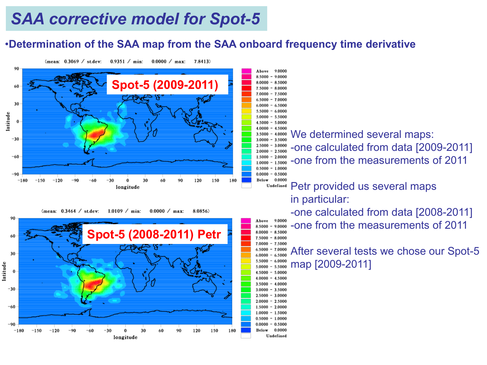#### •**Determination of the SAA map from the SAA onboard frequency time derivative**

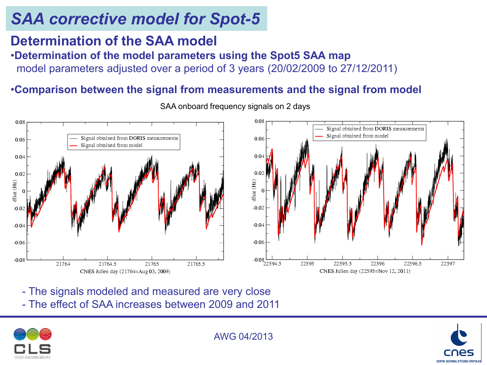### **Determination of the SAA model**

#### •**Determination of the model parameters using the Spot5 SAA map**

model parameters adjusted over a period of 3 years (20/02/2009 to 27/12/2011)

#### •**Comparison between the signal from measurements and the signal from model**



SAA onboard frequency signals on 2 days

- The signals modeled and measured are very close - The effect of SAA increases between 2009 and 2011



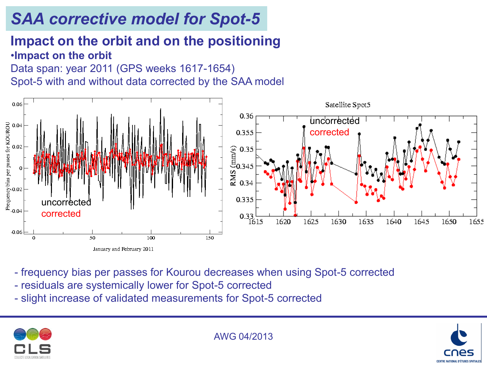### **Impact on the orbit and on the positioning**  •**Impact on the orbit**

Data span: year 2011 (GPS weeks 1617-1654) Spot-5 with and without data corrected by the SAA model



- frequency bias per passes for Kourou decreases when using Spot-5 corrected
- residuals are systemically lower for Spot-5 corrected
- slight increase of validated measurements for Spot-5 corrected



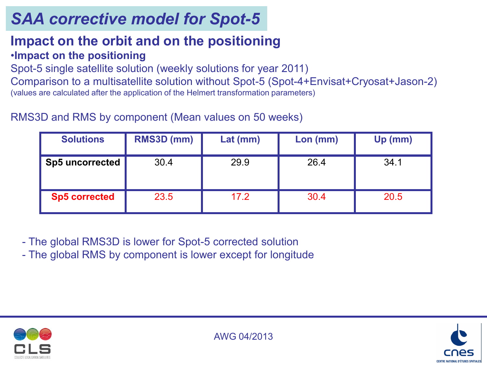#### **Impact on the orbit and on the positioning**  •**Impact on the positioning**

Spot-5 single satellite solution (weekly solutions for year 2011)

Comparison to a multisatellite solution without Spot-5 (Spot-4+Envisat+Cryosat+Jason-2) (values are calculated after the application of the Helmert transformation parameters)

RMS3D and RMS by component (Mean values on 50 weeks)

| <b>Solutions</b>       | RMS3D (mm) | $Lat$ (mm) | $Lon$ (mm) | Up (mm) |
|------------------------|------------|------------|------------|---------|
| <b>Sp5 uncorrected</b> | 30.4       | 29.9       | 26.4       | 34.1    |
| <b>Sp5 corrected</b>   | 23.5       | 17.2       | 30.4       | 20.5    |

- The global RMS3D is lower for Spot-5 corrected solution

- The global RMS by component is lower except for longitude





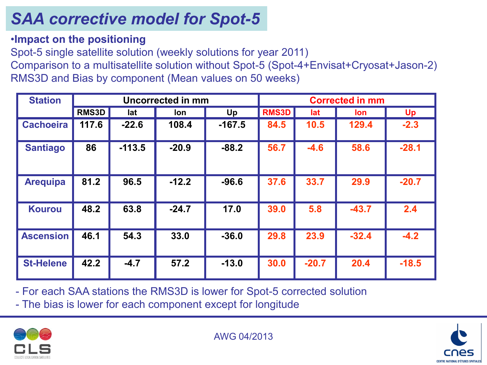•**Impact on the positioning**

Spot-5 single satellite solution (weekly solutions for year 2011)

Comparison to a multisatellite solution without Spot-5 (Spot-4+Envisat+Cryosat+Jason-2) RMS3D and Bias by component (Mean values on 50 weeks)

| <b>Station</b>   | <b>Uncorrected in mm</b> |          |         |          |              |         | <b>Corrected in mm</b> |         |
|------------------|--------------------------|----------|---------|----------|--------------|---------|------------------------|---------|
|                  | <b>RMS3D</b>             | lat      | lon     | Up       | <b>RMS3D</b> | lat     | <b>lon</b>             | Up      |
| <b>Cachoeira</b> | 117.6                    | $-22.6$  | 108.4   | $-167.5$ | 84.5         | 10.5    | 129.4                  | $-2.3$  |
| <b>Santiago</b>  | 86                       | $-113.5$ | $-20.9$ | $-88.2$  | 56.7         | $-4.6$  | 58.6                   | $-28.1$ |
| <b>Arequipa</b>  | 81.2                     | 96.5     | $-12.2$ | $-96.6$  | 37.6         | 33.7    | 29.9                   | $-20.7$ |
| <b>Kourou</b>    | 48.2                     | 63.8     | $-24.7$ | 17.0     | 39.0         | 5.8     | $-43.7$                | 2.4     |
| <b>Ascension</b> | 46.1                     | 54.3     | 33.0    | $-36.0$  | 29.8         | 23.9    | $-32.4$                | $-4.2$  |
| <b>St-Helene</b> | 42.2                     | $-4.7$   | 57.2    | $-13.0$  | 30.0         | $-20.7$ | 20.4                   | $-18.5$ |

- For each SAA stations the RMS3D is lower for Spot-5 corrected solution - The bias is lower for each component except for longitude



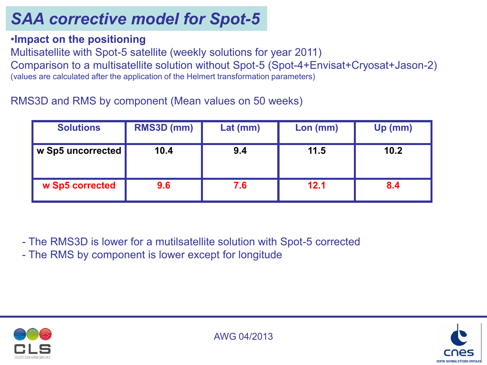•**Impact on the positioning**

Multisatellite with Spot-5 satellite (weekly solutions for year 2011)

Comparison to a multisatellite solution without Spot-5 (Spot-4+Envisat+Cryosat+Jason-2) (values are calculated after the application of the Helmert transformation parameters)

#### RMS3D and RMS by component (Mean values on 50 weeks)

| <b>Solutions</b>  | RMS3D (mm) | $Lat$ (mm) | Lon (mm) | Up (mm) |
|-------------------|------------|------------|----------|---------|
| w Sp5 uncorrected | 10.4       | 9.4        | 11.5     | 10.2    |
| w Sp5 corrected   | 9.6        | 7.6        | 12.1     | 8.4     |

- The RMS3D is lower for a mutilsatellite solution with Spot-5 corrected

- The RMS by component is lower except for longitude



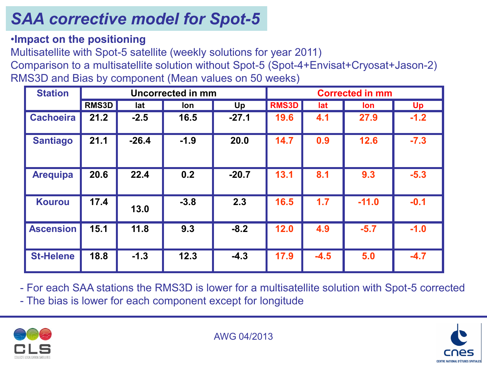•**Impact on the positioning**

Multisatellite with Spot-5 satellite (weekly solutions for year 2011)

Comparison to a multisatellite solution without Spot-5 (Spot-4+Envisat+Cryosat+Jason-2) RMS3D and Bias by component (Mean values on 50 weeks)

| <b>Station</b>   | <b>Uncorrected in mm</b> |         |        | <b>Corrected in mm</b> |              |        |         |        |
|------------------|--------------------------|---------|--------|------------------------|--------------|--------|---------|--------|
|                  | <b>RMS3D</b>             | lat     | lon    | Up                     | <b>RMS3D</b> | lat    | lon     | Up     |
| <b>Cachoeira</b> | 21.2                     | $-2.5$  | 16.5   | $-27.1$                | 19.6         | 4.1    | 27.9    | $-1.2$ |
| <b>Santiago</b>  | 21.1                     | $-26.4$ | $-1.9$ | 20.0                   | 14.7         | 0.9    | 12.6    | $-7.3$ |
| <b>Arequipa</b>  | 20.6                     | 22.4    | 0.2    | $-20.7$                | 13.1         | 8.1    | 9.3     | $-5.3$ |
| <b>Kourou</b>    | 17.4                     | 13.0    | $-3.8$ | 2.3                    | 16.5         | 1.7    | $-11.0$ | $-0.1$ |
| <b>Ascension</b> | 15.1                     | 11.8    | 9.3    | $-8.2$                 | 12.0         | 4.9    | $-5.7$  | $-1.0$ |
| <b>St-Helene</b> | 18.8                     | $-1.3$  | 12.3   | $-4.3$                 | 17.9         | $-4.5$ | 5.0     | $-4.7$ |

- For each SAA stations the RMS3D is lower for a multisatellite solution with Spot-5 corrected - The bias is lower for each component except for longitude



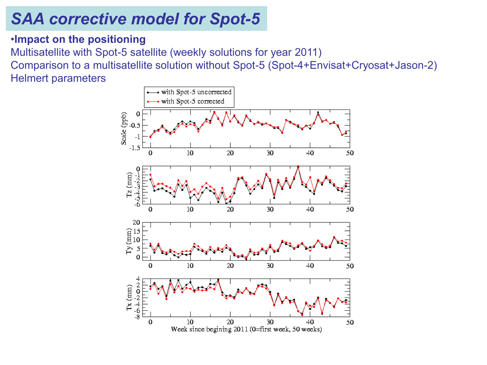#### •**Impact on the positioning** Multisatellite with Spot-5 satellite (weekly solutions for year 2011) Comparison to a multisatellite solution without Spot-5 (Spot-4+Envisat+Cryosat+Jason-2) Helmert parameters

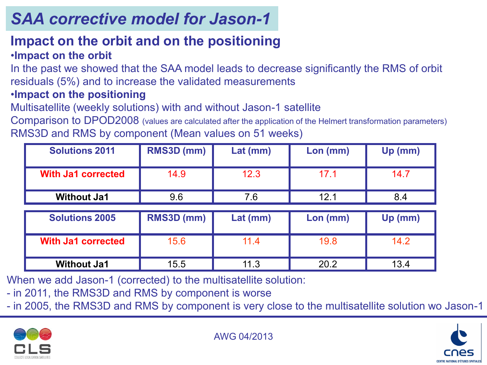# *SAA corrective model for Jason-1*

#### **Impact on the orbit and on the positioning** •**Impact on the orbit**

In the past we showed that the SAA model leads to decrease significantly the RMS of orbit residuals (5%) and to increase the validated measurements

#### •**Impact on the positioning**

Multisatellite (weekly solutions) with and without Jason-1 satellite

Comparison to DPOD2008 (values are calculated after the application of the Helmert transformation parameters) RMS3D and RMS by component (Mean values on 51 weeks)

| <b>Solutions 2011</b>     | RMS3D (mm) | $Lat$ (mm) | Lon (mm) | Up (mm) |
|---------------------------|------------|------------|----------|---------|
| <b>With Ja1 corrected</b> | 14.9       | 12.3       | 17.1     | 14.7    |
| <b>Without Ja1</b>        | 9.6        | 7.6        | 12.1     | 8.4     |
|                           |            |            |          |         |
| <b>Solutions 2005</b>     | RMS3D (mm) | $Lat$ (mm) | Lon (mm) | Up (mm) |
|                           |            |            |          |         |
| <b>With Ja1 corrected</b> | 15.6       | 11.4       | 19.8     | 14.2    |
|                           |            |            |          |         |

When we add Jason-1 (corrected) to the multisatellite solution:

- in 2011, the RMS3D and RMS by component is worse

- in 2005, the RMS3D and RMS by component is very close to the multisatellite solution wo Jason-1



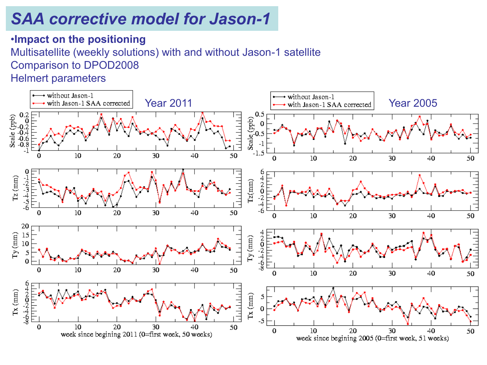### *SAA corrective model for Jason-1*

#### •**Impact on the positioning** Multisatellite (weekly solutions) with and without Jason-1 satellite Comparison to DPOD2008 Helmert parameters

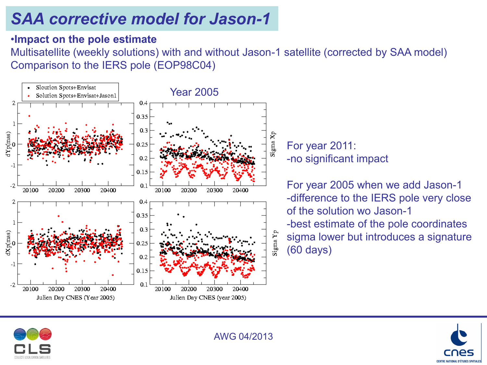# *SAA corrective model for Jason-1*

#### •**Impact on the pole estimate**

Multisatellite (weekly solutions) with and without Jason-1 satellite (corrected by SAA model) Comparison to the IERS pole (EOP98C04)



For year 2011: -no significant impact

For year 2005 when we add Jason-1 -difference to the IERS pole very close of the solution wo Jason-1 -best estimate of the pole coordinates sigma lower but introduces a signature (60 days)



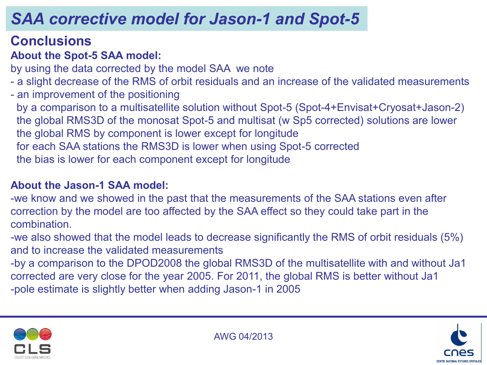### **Conclusions**

### **About the Spot-5 SAA model:**

by using the data corrected by the model SAA we note

- a slight decrease of the RMS of orbit residuals and an increase of the validated measurements
- an improvement of the positioning
- by a comparison to a multisatellite solution without Spot-5 (Spot-4+Envisat+Cryosat+Jason-2) the global RMS3D of the monosat Spot-5 and multisat (w Sp5 corrected) solutions are lower the global RMS by component is lower except for longitude for each SAA stations the RMS3D is lower when using Spot-5 corrected the bias is lower for each component except for longitude

### **About the Jason-1 SAA model:**

-we know and we showed in the past that the measurements of the SAA stations even after correction by the model are too affected by the SAA effect so they could take part in the combination.

-we also showed that the model leads to decrease significantly the RMS of orbit residuals (5%) and to increase the validated measurements

-by a comparison to the DPOD2008 the global RMS3D of the multisatellite with and without Ja1 corrected are very close for the year 2005. For 2011, the global RMS is better without Ja1 -pole estimate is slightly better when adding Jason-1 in 2005



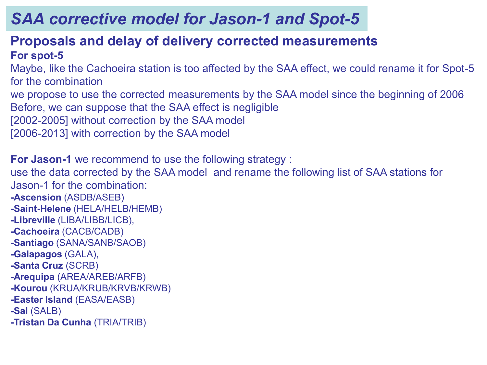### **Proposals and delay of delivery corrected measurements For spot-5**

Maybe, like the Cachoeira station is too affected by the SAA effect, we could rename it for Spot-5 for the combination

we propose to use the corrected measurements by the SAA model since the beginning of 2006 Before, we can suppose that the SAA effect is negligible

[2002-2005] without correction by the SAA model

[2006-2013] with correction by the SAA model

**For Jason-1** we recommend to use the following strategy : use the data corrected by the SAA model and rename the following list of SAA stations for Jason-1 for the combination: **-Ascension** (ASDB/ASEB) **-Saint-Helene** (HELA/HELB/HEMB) **-Libreville** (LIBA/LIBB/LICB), **-Cachoeira** (CACB/CADB) **-Santiago** (SANA/SANB/SAOB) **-Galapagos** (GALA), **-Santa Cruz** (SCRB) **-Arequipa** (AREA/AREB/ARFB) **-Kourou** (KRUA/KRUB/KRVB/KRWB) **-Easter Island** (EASA/EASB) **-Sal** (SALB) **-Tristan Da Cunha** (TRIA/TRIB)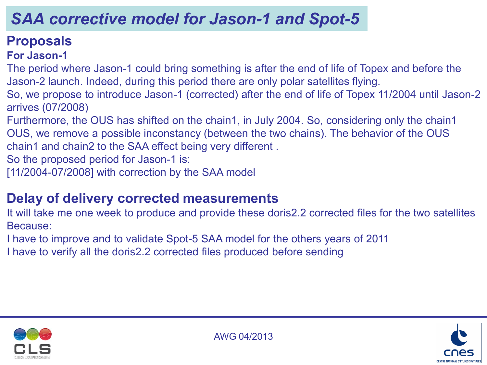### **Proposals**

### **For Jason-1**

The period where Jason-1 could bring something is after the end of life of Topex and before the Jason-2 launch. Indeed, during this period there are only polar satellites flying.

So, we propose to introduce Jason-1 (corrected) after the end of life of Topex 11/2004 until Jason-2 arrives (07/2008)

Furthermore, the OUS has shifted on the chain1, in July 2004. So, considering only the chain1 OUS, we remove a possible inconstancy (between the two chains). The behavior of the OUS chain1 and chain2 to the SAA effect being very different .

So the proposed period for Jason-1 is:

[11/2004-07/2008] with correction by the SAA model

### **Delay of delivery corrected measurements**

It will take me one week to produce and provide these doris2.2 corrected files for the two satellites Because:

I have to improve and to validate Spot-5 SAA model for the others years of 2011

I have to verify all the doris2.2 corrected files produced before sending



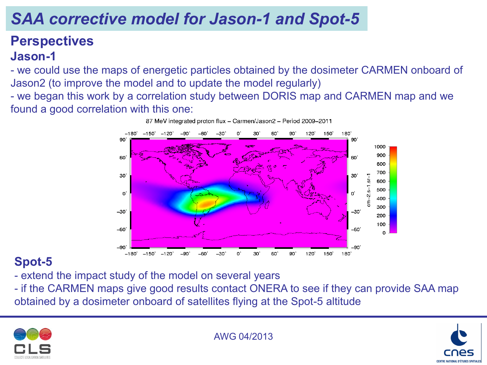### **Perspectives Jason-1**

- we could use the maps of energetic particles obtained by the dosimeter CARMEN onboard of Jason2 (to improve the model and to update the model regularly)

- we began this work by a correlation study between DORIS map and CARMEN map and we found a good correlation with this one:



### **Spot-5**

- extend the impact study of the model on several years

- if the CARMEN maps give good results contact ONERA to see if they can provide SAA map obtained by a dosimeter onboard of satellites flying at the Spot-5 altitude